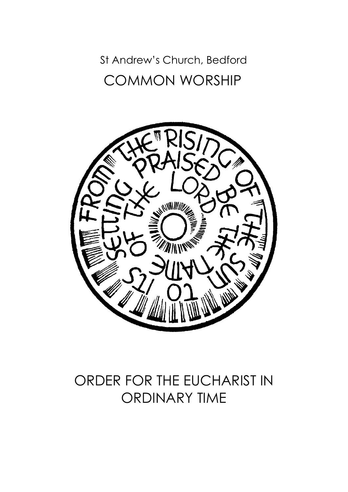# St Andrew's Church, Bedford COMMON WORSHIP



# ORDER FOR THE EUCHARIST IN ORDINARY TIME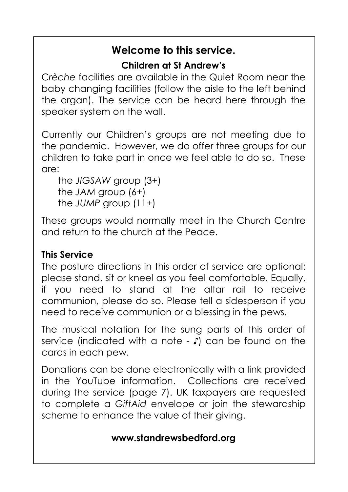### **Welcome to this service.**

#### **Children at St Andrew's**

C*rèche* facilities are available in the Quiet Room near the baby changing facilities (follow the aisle to the left behind the organ). The service can be heard here through the speaker system on the wall.

Currently our Children's groups are not meeting due to the pandemic. However, we do offer three groups for our children to take part in once we feel able to do so. These are:

the *JIGSAW* group (3+) the *JAM* group (6+) the *JUMP* group (11+)

These groups would normally meet in the Church Centre and return to the church at the Peace.

### **This Service**

The posture directions in this order of service are optional: please stand, sit or kneel as you feel comfortable. Equally, if you need to stand at the altar rail to receive communion, please do so. Please tell a sidesperson if you need to receive communion or a blessing in the pews.

The musical notation for the sung parts of this order of service (indicated with a note - ♪) can be found on the cards in each pew.

Donations can be done electronically with a link provided in the YouTube information. Collections are received during the service (page 7). UK taxpayers are requested to complete a *GiftAid* envelope or join the stewardship scheme to enhance the value of their giving.

#### **www.standrewsbedford.org**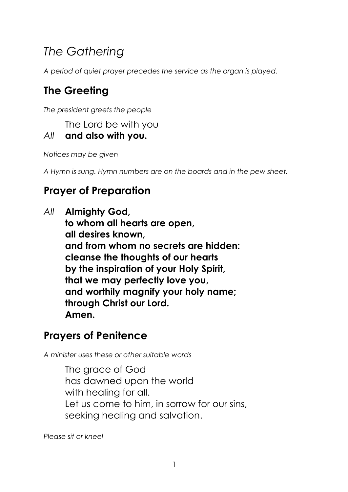## *The Gathering*

*A period of quiet prayer precedes the service as the organ is played.*

## **The Greeting**

*The president greets the people*

The Lord be with you

#### *All* **and also with you.**

*Notices may be given*

*A Hymn is sung. Hymn numbers are on the boards and in the pew sheet.*

### **Prayer of Preparation**

*All* **Almighty God,**

**to whom all hearts are open, all desires known, and from whom no secrets are hidden: cleanse the thoughts of our hearts by the inspiration of your Holy Spirit, that we may perfectly love you, and worthily magnify your holy name; through Christ our Lord. Amen.**

### **Prayers of Penitence**

*A minister uses these or other suitable words*

The grace of God has dawned upon the world with healing for all. Let us come to him, in sorrow for our sins, seeking healing and salvation.

*Please sit or kneel*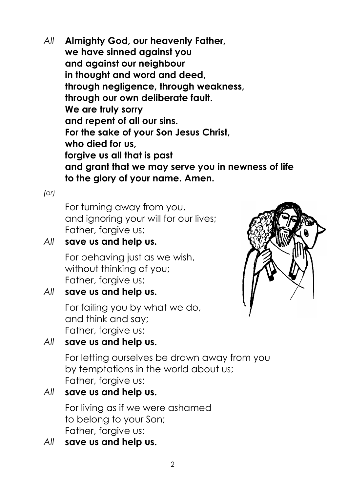*All* **Almighty God, our heavenly Father, we have sinned against you and against our neighbour in thought and word and deed, through negligence, through weakness, through our own deliberate fault. We are truly sorry and repent of all our sins. For the sake of your Son Jesus Christ, who died for us, forgive us all that is past and grant that we may serve you in newness of life to the glory of your name. Amen.**

#### *(or)*

For turning away from you, and ignoring your will for our lives; Father, forgive us:

#### *All* **save us and help us.**

For behaving just as we wish, without thinking of you; Father, forgive us:

#### *All* **save us and help us.**

For failing you by what we do, and think and say; Father, forgive us:



### *All* **save us and help us.**

For letting ourselves be drawn away from you by temptations in the world about us; Father, forgive us:

*All* **save us and help us.**

For living as if we were ashamed to belong to your Son; Father, forgive us:

*All* **save us and help us.**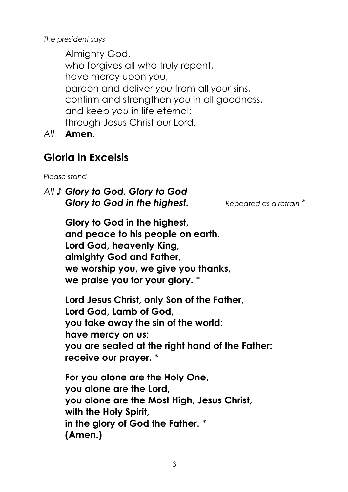*The president says*

Almighty God, who forgives all who truly repent, have mercy upon *yo*u, pardon and deliver *you* from all *your* sins, confirm and strengthen *you* in all goodness, and keep *you* in life eternal; through Jesus Christ our Lord.

*All* **Amen.**

### **Gloria in Excelsis**

*Please stand*

*All* ♪ *Glory to God, Glory to God Glory to God in the highest. Repeated as a refrain \**

**Glory to God in the highest, and peace to his people on earth. Lord God, heavenly King, almighty God and Father, we worship you, we give you thanks, we praise you for your glory.** *\** 

**Lord Jesus Christ, only Son of the Father, Lord God, Lamb of God, you take away the sin of the world: have mercy on us; you are seated at the right hand of the Father: receive our prayer.** *\**

**For you alone are the Holy One, you alone are the Lord, you alone are the Most High, Jesus Christ, with the Holy Spirit, in the glory of God the Father.** *\**  **(Amen.)**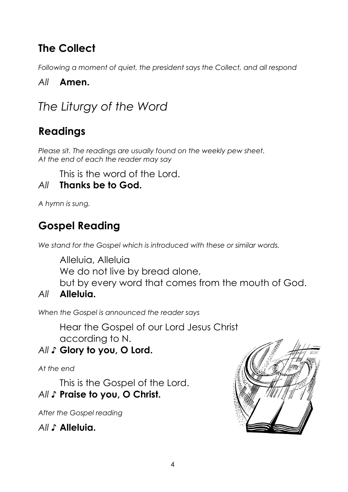## **The Collect**

*Following a moment of quiet, the president says the Collect, and all respond*

#### *All* **Amen.**

## *The Liturgy of the Word*

## **Readings**

*Please sit. The readings are usually found on the weekly pew sheet. At the end of each the reader may say*

This is the word of the Lord.

#### *All* **Thanks be to God.**

*A hymn is sung.*

## **Gospel Reading**

*We stand for the Gospel which is introduced with these or similar words.*

Alleluia, Alleluia We do not live by bread alone, but by every word that comes from the mouth of God.

#### *All* **Alleluia.**

*When the Gospel is announced the reader says*

Hear the Gospel of our Lord Jesus Christ according to N.

### *All ♪* **Glory to you, O Lord.**

*At the end*

This is the Gospel of the Lord. *All* ♪ **Praise to you, O Christ.**

*After the Gospel reading*

#### *All* ♪ **Alleluia.**

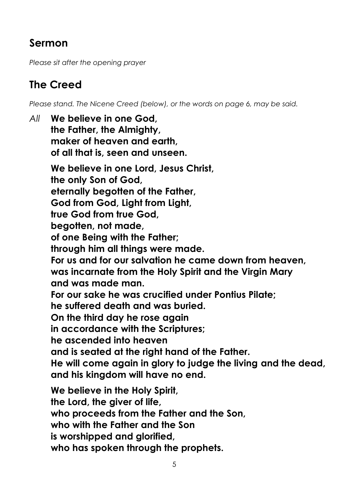## **Sermon**

*Please sit after the opening prayer*

## **The Creed**

*Please stand. The Nicene Creed (below), or the words on page 6, may be said.*

*All* **We believe in one God, the Father, the Almighty, maker of heaven and earth, of all that is, seen and unseen. We believe in one Lord, Jesus Christ, the only Son of God, eternally begotten of the Father, God from God, Light from Light, true God from true God, begotten, not made, of one Being with the Father; through him all things were made. For us and for our salvation he came down from heaven, was incarnate from the Holy Spirit and the Virgin Mary and was made man. For our sake he was crucified under Pontius Pilate; he suffered death and was buried. On the third day he rose again in accordance with the Scriptures; he ascended into heaven and is seated at the right hand of the Father. He will come again in glory to judge the living and the dead, and his kingdom will have no end. We believe in the Holy Spirit, the Lord, the giver of life, who proceeds from the Father and the Son, who with the Father and the Son is worshipped and glorified, who has spoken through the prophets.**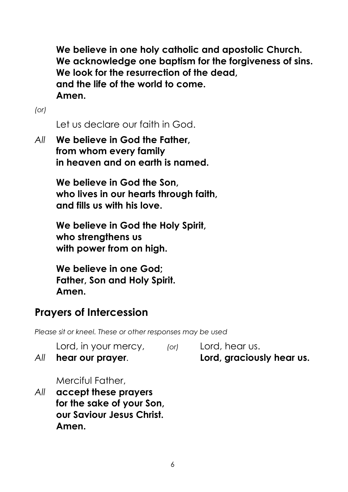**We believe in one holy catholic and apostolic Church. We acknowledge one baptism for the forgiveness of sins. We look for the resurrection of the dead, and the life of the world to come. Amen.**

*(or)*

Let us declare our faith in God.

*All* **We believe in God the Father, from whom every family in heaven and on earth is named.**

> **We believe in God the Son, who lives in our hearts through faith, and fills us with his love.**

**We believe in God the Holy Spirit, who strengthens us with power from on high.**

**We believe in one God; Father, Son and Holy Spirit. Amen.**

### **Prayers of Intercession**

*Please sit or kneel. These or other responses may be used*

Lord, in your mercy, *(or)* Lord, hear us.

Merciful Father,

*All* **accept these prayers for the sake of your Son, our Saviour Jesus Christ. Amen.**

*All* **hear our prayer. Lord, graciously hear us.**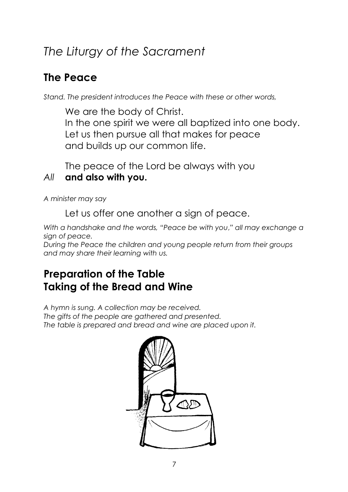## *The Liturgy of the Sacrament*

### **The Peace**

*Stand. The president introduces the Peace with these or other words,*

We are the body of Christ.

In the one spirit we were all baptized into one body. Let us then pursue all that makes for peace and builds up our common life.

The peace of the Lord be always with you

#### *All* **and also with you.**

*A minister may say*

Let us offer one another a sign of peace.

*With a handshake and the words, "Peace be with you*,*" all may exchange a sign of peace.*

*During the Peace the children and young people return from their groups and may share their learning with us.*

## **Preparation of the Table Taking of the Bread and Wine**

*A hymn is sung. A collection may be received. The gifts of the people are gathered and presented. The table is prepared and bread and wine are placed upon it.*

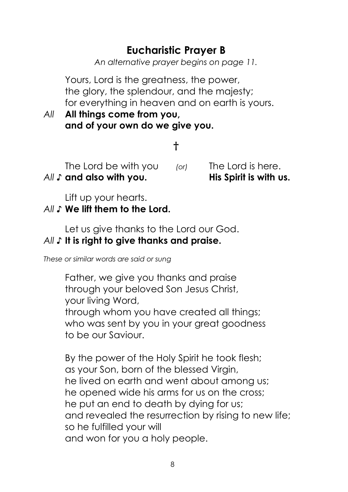#### **Eucharistic Prayer B**

*An alternative prayer begins on page 11.*

Yours, Lord is the greatness, the power, the glory, the splendour, and the majesty; for everything in heaven and on earth is yours.

*All* **All things come from you, and of your own do we give you.**

### **†**

The Lord be with you *(or)* The Lord is here. *All* ♪ **and also with you. His Spirit is with us.**

Lift up your hearts.

#### *All* ♪ **We lift them to the Lord.**

Let us give thanks to the Lord our God. *All* ♪ **It is right to give thanks and praise.**

*These or similar words are said or sung*

Father, we give you thanks and praise through your beloved Son Jesus Christ, your living Word, through whom you have created all things; who was sent by you in your great goodness to be our Saviour.

By the power of the Holy Spirit he took flesh; as your Son, born of the blessed Virgin, he lived on earth and went about among us; he opened wide his arms for us on the cross; he put an end to death by dying for us; and revealed the resurrection by rising to new life; so he fulfilled your will and won for you a holy people.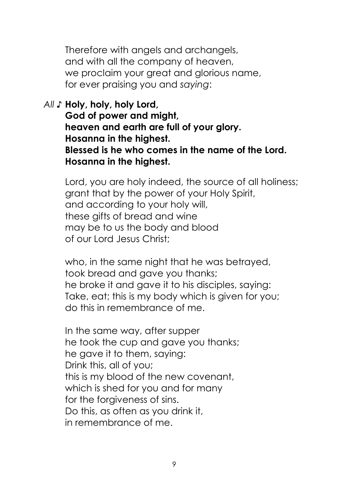Therefore with angels and archangels, and with all the company of heaven, we proclaim your great and glorious name, for ever praising you and *saying*:

*All* ♪ **Holy, holy, holy Lord, God of power and might, heaven and earth are full of your glory. Hosanna in the highest. Blessed is he who comes in the name of the Lord. Hosanna in the highest.**

Lord, you are holy indeed, the source of all holiness; grant that by the power of your Holy Spirit, and according to your holy will, these gifts of bread and wine may be to us the body and blood of our Lord Jesus Christ;

who, in the same night that he was betrayed, took bread and gave you thanks; he broke it and gave it to his disciples, saying: Take, eat; this is my body which is given for you; do this in remembrance of me.

In the same way, after supper he took the cup and gave you thanks; he gave it to them, saying: Drink this, all of you; this is my blood of the new covenant, which is shed for you and for many for the forgiveness of sins. Do this, as often as you drink it, in remembrance of me.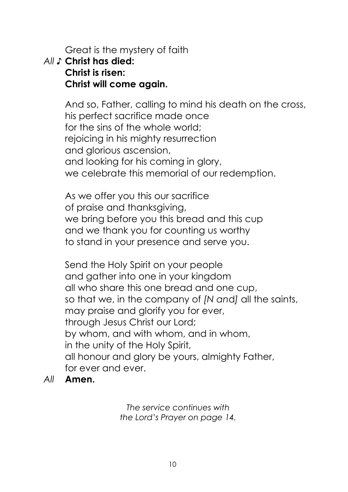Great is the mystery of faith

#### *All* ♪ **Christ has died: Christ is risen: Christ will come again.**

And so, Father, calling to mind his death on the cross, his perfect sacrifice made once for the sins of the whole world; rejoicing in his mighty resurrection and glorious ascension, and looking for his coming in glory, we celebrate this memorial of our redemption.

As we offer you this our sacrifice of praise and thanksgiving, we bring before you this bread and this cup and we thank you for counting us worthy to stand in your presence and serve you.

Send the Holy Spirit on your people and gather into one in your kingdom all who share this one bread and one cup, so that we, in the company of *[N an*d*]* all the saints, may praise and glorify you for ever, through Jesus Christ our Lord; by whom, and with whom, and in whom, in the unity of the Holy Spirit, all honour and glory be yours, almighty Father, for ever and ever.

*All* **Amen.**

*The service continues with the Lord's Prayer on page 14.*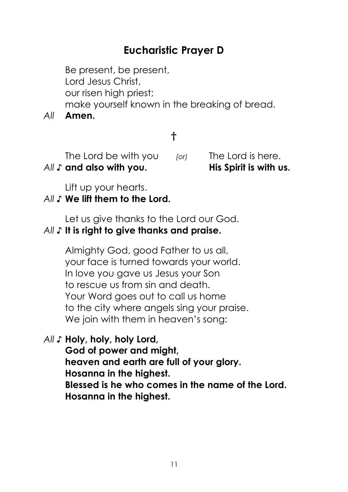### **Eucharistic Prayer D**

Be present, be present, Lord Jesus Christ, our risen high priest; make yourself known in the breaking of bread.

*All* **Amen.**

### **†**

The Lord be with you *(or)* The Lord is here.

*All* ♪ **and also with you. His Spirit is with us.**

Lift up your hearts.

#### *All* ♪ **We lift them to the Lord.**

Let us give thanks to the Lord our God. *All* ♪ **It is right to give thanks and praise.**

> Almighty God, good Father to us all, your face is turned towards your world. In love you gave us Jesus your Son to rescue us from sin and death. Your Word goes out to call us home to the city where angels sing your praise. We join with them in heaven's song:

*All* ♪ **Holy, holy, holy Lord,**

**God of power and might, heaven and earth are full of your glory. Hosanna in the highest. Blessed is he who comes in the name of the Lord. Hosanna in the highest.**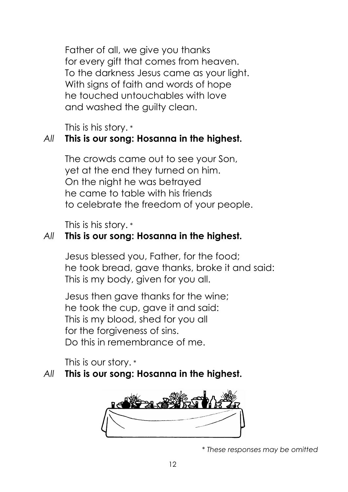Father of all, we give you thanks for every gift that comes from heaven. To the darkness Jesus came as your light. With signs of faith and words of hope he touched untouchables with love and washed the guilty clean.

This is his story. \*

### *All* **This is our song: Hosanna in the highest.**

The crowds came out to see your Son, yet at the end they turned on him. On the night he was betrayed he came to table with his friends to celebrate the freedom of your people.

This is his story. \*

#### *All* **This is our song: Hosanna in the highest.**

Jesus blessed you, Father, for the food; he took bread, gave thanks, broke it and said: This is my body, given for you all.

Jesus then gave thanks for the wine; he took the cup, gave it and said: This is my blood, shed for you all for the forgiveness of sins. Do this in remembrance of me.

This is our story. \*

### *All* **This is our song: Hosanna in the highest.**



<sup>\*</sup> *These responses may be omitted*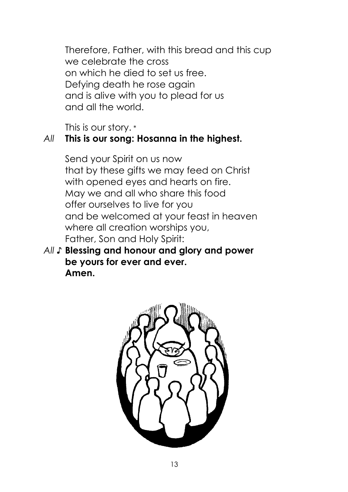Therefore, Father, with this bread and this cup we celebrate the cross on which he died to set us free. Defying death he rose again and is alive with you to plead for us and all the world.

This is our story. \*

### *All* **This is our song: Hosanna in the highest.**

Send your Spirit on us now that by these gifts we may feed on Christ with opened eyes and hearts on fire. May we and all who share this food offer ourselves to live for you and be welcomed at your feast in heaven where all creation worships you, Father, Son and Holy Spirit:

*All* ♪ **Blessing and honour and glory and power be yours for ever and ever. Amen.**

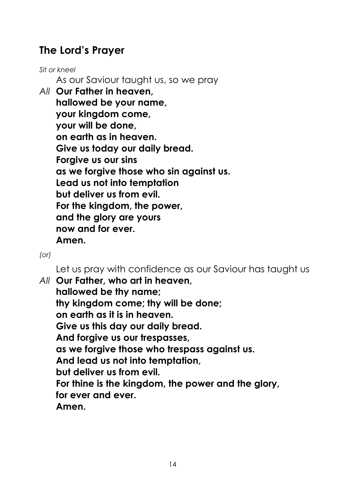### **The Lord's Prayer**

*Sit or kneel*

As our Saviour taught us, so we pray

*All* **Our Father in heaven, hallowed be your name, your kingdom come, your will be done, on earth as in heaven. Give us today our daily bread. Forgive us our sins as we forgive those who sin against us. Lead us not into temptation but deliver us from evil. For the kingdom, the power, and the glory are yours now and for ever. Amen.**

*(or)*

Let us pray with confidence as our Saviour has taught us

*All* **Our Father, who art in heaven, hallowed be thy name; thy kingdom come; thy will be done; on earth as it is in heaven. Give us this day our daily bread. And forgive us our trespasses, as we forgive those who trespass against us. And lead us not into temptation, but deliver us from evil. For thine is the kingdom, the power and the glory, for ever and ever. Amen.**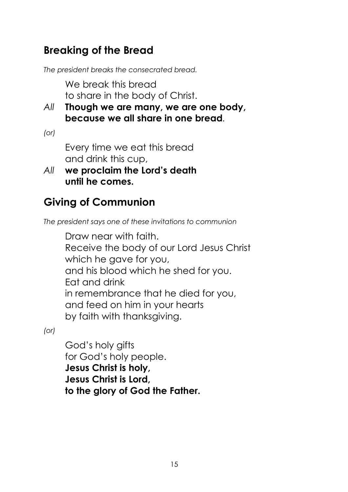### **Breaking of the Bread**

*The president breaks the consecrated bread.*

We break this bread to share in the body of Christ.

*All* **Though we are many, we are one body, because we all share in one bread.**

*(or)*

Every time we eat this bread and drink this cup,

*All* **we proclaim the Lord's death until he comes.**

## **Giving of Communion**

*The president says one of these invitations to communion*

Draw near with faith. Receive the body of our Lord Jesus Christ which he gave for you, and his blood which he shed for you. Eat and drink in remembrance that he died for you, and feed on him in your hearts by faith with thanksgiving.

*(or)*

God's holy gifts for God's holy people. **Jesus Christ is holy, Jesus Christ is Lord, to the glory of God the Father.**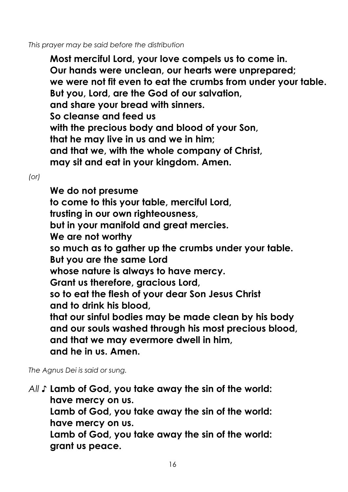#### *This prayer may be said before the distribution*

**Most merciful Lord, your love compels us to come in. Our hands were unclean, our hearts were unprepared; we were not fit even to eat the crumbs from under your table. But you, Lord, are the God of our salvation, and share your bread with sinners. So cleanse and feed us with the precious body and blood of your Son, that he may live in us and we in him; and that we, with the whole company of Christ, may sit and eat in your kingdom. Amen.** 

*(or)*

**We do not presume to come to this your table, merciful Lord, trusting in our own righteousness, but in your manifold and great mercies. We are not worthy so much as to gather up the crumbs under your table. But you are the same Lord whose nature is always to have mercy. Grant us therefore, gracious Lord, so to eat the flesh of your dear Son Jesus Christ and to drink his blood, that our sinful bodies may be made clean by his body and our souls washed through his most precious blood, and that we may evermore dwell in him, and he in us. Amen.**

*The Agnus Dei is said or sung.*

*All* ♪ **Lamb of God, you take away the sin of the world: have mercy on us. Lamb of God, you take away the sin of the world: have mercy on us. Lamb of God, you take away the sin of the world: grant us peace.**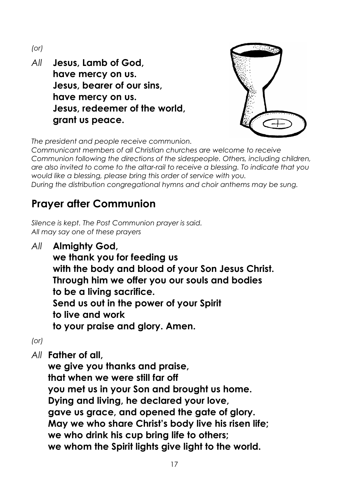*(or)*

*All* **Jesus, Lamb of God, have mercy on us. Jesus, bearer of our sins, have mercy on us. Jesus, redeemer of the world, grant us peace.**



*The president and people receive communion.*

*Communicant members of all Christian churches are welcome to receive Communion following the directions of the sidespeople. Others, including children, are also invited to come to the altar-rail to receive a blessing. To indicate that you would like a blessing, please bring this order of service with you. During the distribution congregational hymns and choir anthems may be sung.*

## **Prayer after Communion**

*Silence is kept. The Post Communion prayer is said. All may say one of these prayers*

*All* **Almighty God,**

**we thank you for feeding us with the body and blood of your Son Jesus Christ. Through him we offer you our souls and bodies to be a living sacrifice. Send us out in the power of your Spirit to live and work to your praise and glory. Amen.**

*(or)*

*All* **Father of all,**

**we give you thanks and praise, that when we were still far off you met us in your Son and brought us home. Dying and living, he declared your love, gave us grace, and opened the gate of glory. May we who share Christ's body live his risen life; we who drink his cup bring life to others; we whom the Spirit lights give light to the world.**